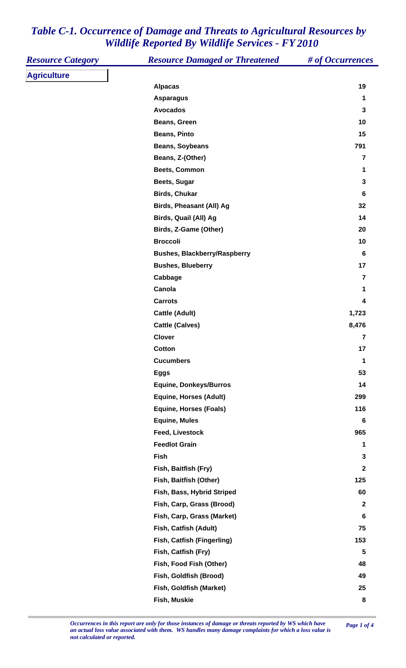| <b>Resource Category</b> | <b>Resource Damaged or Threatened</b> | # of Occurrences        |
|--------------------------|---------------------------------------|-------------------------|
| <b>Agriculture</b>       |                                       |                         |
|                          | <b>Alpacas</b>                        | 19                      |
|                          | <b>Asparagus</b>                      | 1                       |
|                          | <b>Avocados</b>                       | 3                       |
|                          | Beans, Green                          | 10                      |
|                          | <b>Beans, Pinto</b>                   | 15                      |
|                          | <b>Beans, Soybeans</b>                | 791                     |
|                          | Beans, Z-(Other)                      | 7                       |
|                          | <b>Beets, Common</b>                  | 1                       |
|                          | Beets, Sugar                          | 3                       |
|                          | <b>Birds, Chukar</b>                  | 6                       |
|                          | Birds, Pheasant (All) Ag              | 32                      |
|                          | Birds, Quail (All) Ag                 | 14                      |
|                          | Birds, Z-Game (Other)                 | 20                      |
|                          | <b>Broccoli</b>                       | 10                      |
|                          | <b>Bushes, Blackberry/Raspberry</b>   | 6                       |
|                          | <b>Bushes, Blueberry</b>              | 17                      |
|                          | Cabbage                               | 7                       |
|                          | Canola                                | 1                       |
|                          | <b>Carrots</b>                        | 4                       |
|                          | <b>Cattle (Adult)</b>                 | 1,723                   |
|                          | <b>Cattle (Calves)</b>                | 8,476                   |
|                          | <b>Clover</b>                         | $\overline{7}$          |
|                          | Cotton                                | 17                      |
|                          | <b>Cucumbers</b>                      | 1                       |
|                          | <b>Eggs</b>                           | 53                      |
|                          | <b>Equine, Donkeys/Burros</b>         | 14                      |
|                          | <b>Equine, Horses (Adult)</b>         | 299                     |
|                          | <b>Equine, Horses (Foals)</b>         | 116                     |
|                          | <b>Equine, Mules</b>                  | 6                       |
|                          | <b>Feed, Livestock</b>                | 965                     |
|                          | <b>Feedlot Grain</b>                  | 1                       |
|                          | <b>Fish</b>                           | 3                       |
|                          | Fish, Baitfish (Fry)                  | $\mathbf{2}$            |
|                          | Fish, Baitfish (Other)                | 125                     |
|                          | Fish, Bass, Hybrid Striped            | 60                      |
|                          | Fish, Carp, Grass (Brood)             | $\mathbf{2}$            |
|                          | Fish, Carp, Grass (Market)            | 6                       |
|                          | Fish, Catfish (Adult)                 | 75                      |
|                          | <b>Fish, Catfish (Fingerling)</b>     | 153                     |
|                          | Fish, Catfish (Fry)                   | $\overline{\mathbf{5}}$ |
|                          | Fish, Food Fish (Other)               | 48                      |
|                          | Fish, Goldfish (Brood)                | 49                      |
|                          | Fish, Goldfish (Market)               | 25                      |
|                          | Fish, Muskie                          | ${\bf 8}$               |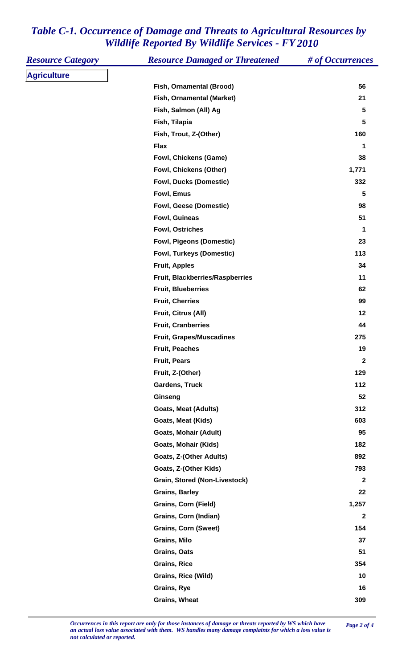| <b>Resource Category</b> | <b>Resource Damaged or Threatened</b> | # of Occurrences |
|--------------------------|---------------------------------------|------------------|
| <b>Agriculture</b>       |                                       |                  |
|                          | Fish, Ornamental (Brood)              | 56               |
|                          | Fish, Ornamental (Market)             | 21               |
|                          | Fish, Salmon (All) Ag                 | 5                |
|                          | Fish, Tilapia                         | 5                |
|                          | Fish, Trout, Z-(Other)                | 160              |
|                          | <b>Flax</b>                           | 1                |
|                          | <b>Fowl, Chickens (Game)</b>          | 38               |
|                          | Fowl, Chickens (Other)                | 1,771            |
|                          | <b>Fowl, Ducks (Domestic)</b>         | 332              |
|                          | Fowl, Emus                            | 5                |
|                          | Fowl, Geese (Domestic)                | 98               |
|                          | Fowl, Guineas                         | 51               |
|                          | <b>Fowl, Ostriches</b>                | 1                |
|                          | <b>Fowl, Pigeons (Domestic)</b>       | 23               |
|                          | <b>Fowl, Turkeys (Domestic)</b>       | 113              |
|                          | <b>Fruit, Apples</b>                  | 34               |
|                          | Fruit, Blackberries/Raspberries       | 11               |
|                          | <b>Fruit, Blueberries</b>             | 62               |
|                          | <b>Fruit, Cherries</b>                | 99               |
|                          | Fruit, Citrus (All)                   | 12               |
|                          | <b>Fruit, Cranberries</b>             | 44               |
|                          | <b>Fruit, Grapes/Muscadines</b>       | 275              |
|                          | <b>Fruit, Peaches</b>                 | 19               |
|                          | <b>Fruit, Pears</b>                   | $\mathbf{2}$     |
|                          | Fruit, Z-(Other)                      | 129              |
|                          | <b>Gardens, Truck</b>                 | 112              |
|                          | Ginseng                               | 52               |
|                          | <b>Goats, Meat (Adults)</b>           | 312              |
|                          | Goats, Meat (Kids)                    | 603              |
|                          | <b>Goats, Mohair (Adult)</b>          | 95               |
|                          | Goats, Mohair (Kids)                  | 182              |
|                          | Goats, Z-(Other Adults)               | 892              |
|                          | Goats, Z-(Other Kids)                 | 793              |
|                          | Grain, Stored (Non-Livestock)         | $\mathbf{2}$     |
|                          | <b>Grains, Barley</b>                 | 22               |
|                          | <b>Grains, Corn (Field)</b>           | 1,257            |
|                          | Grains, Corn (Indian)                 | $\mathbf{2}$     |
|                          | <b>Grains, Corn (Sweet)</b>           | 154              |
|                          | Grains, Milo                          | 37               |
|                          | Grains, Oats                          | 51               |
|                          | <b>Grains, Rice</b>                   | 354              |
|                          | Grains, Rice (Wild)                   | 10               |
|                          | Grains, Rye                           | 16               |
|                          | <b>Grains, Wheat</b>                  | 309              |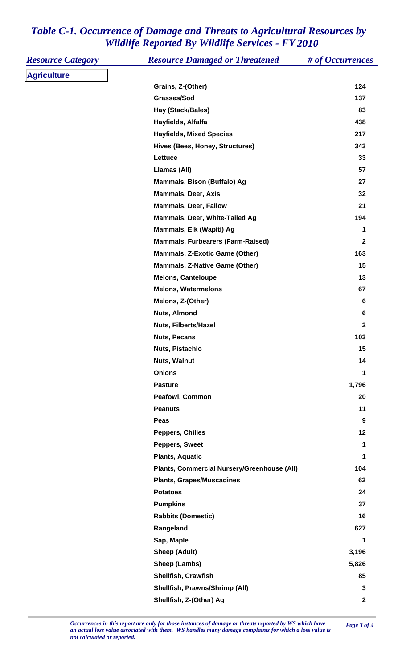| <b>Resource Category</b> | <b>Resource Damaged or Threatened</b>       | # of Occurrences |
|--------------------------|---------------------------------------------|------------------|
| <b>Agriculture</b>       |                                             |                  |
|                          | Grains, Z-(Other)                           | 124              |
|                          | Grasses/Sod                                 | 137              |
|                          | Hay (Stack/Bales)                           | 83               |
|                          | Hayfields, Alfalfa                          | 438              |
|                          | <b>Hayfields, Mixed Species</b>             | 217              |
|                          | Hives (Bees, Honey, Structures)             | 343              |
|                          | Lettuce                                     | 33               |
|                          | Llamas (All)                                | 57               |
|                          | Mammals, Bison (Buffalo) Ag                 | 27               |
|                          | <b>Mammals, Deer, Axis</b>                  | 32               |
|                          | <b>Mammals, Deer, Fallow</b>                | 21               |
|                          | Mammals, Deer, White-Tailed Ag              | 194              |
|                          | Mammals, Elk (Wapiti) Ag                    | 1                |
|                          | <b>Mammals, Furbearers (Farm-Raised)</b>    | $\mathbf{2}$     |
|                          | <b>Mammals, Z-Exotic Game (Other)</b>       | 163              |
|                          | Mammals, Z-Native Game (Other)              | 15               |
|                          | <b>Melons, Canteloupe</b>                   | 13               |
|                          | <b>Melons, Watermelons</b>                  | 67               |
|                          | Melons, Z-(Other)                           | 6                |
|                          | Nuts, Almond                                | $\bf 6$          |
|                          | <b>Nuts, Filberts/Hazel</b>                 | $\mathbf{2}$     |
|                          | <b>Nuts, Pecans</b>                         | 103              |
|                          | Nuts, Pistachio                             | 15               |
|                          | Nuts, Walnut                                | 14               |
|                          | <b>Onions</b>                               | 1                |
|                          | <b>Pasture</b>                              | 1,796            |
|                          | Peafowl, Common                             | 20               |
|                          | <b>Peanuts</b>                              | 11               |
|                          | Peas                                        | 9                |
|                          | <b>Peppers, Chilies</b>                     | 12               |
|                          | Peppers, Sweet                              | 1                |
|                          | <b>Plants, Aquatic</b>                      | 1                |
|                          | Plants, Commercial Nursery/Greenhouse (All) | 104              |
|                          | <b>Plants, Grapes/Muscadines</b>            | 62               |
|                          | <b>Potatoes</b>                             | 24               |
|                          | <b>Pumpkins</b>                             | 37               |
|                          | <b>Rabbits (Domestic)</b>                   | 16               |
|                          | Rangeland                                   | 627              |
|                          | Sap, Maple                                  | 1                |
|                          | <b>Sheep (Adult)</b>                        | 3,196            |
|                          | Sheep (Lambs)                               | 5,826            |
|                          | Shellfish, Crawfish                         | 85               |
|                          | Shellfish, Prawns/Shrimp (All)              | 3                |
|                          | Shellfish, Z-(Other) Ag                     | $\mathbf 2$      |